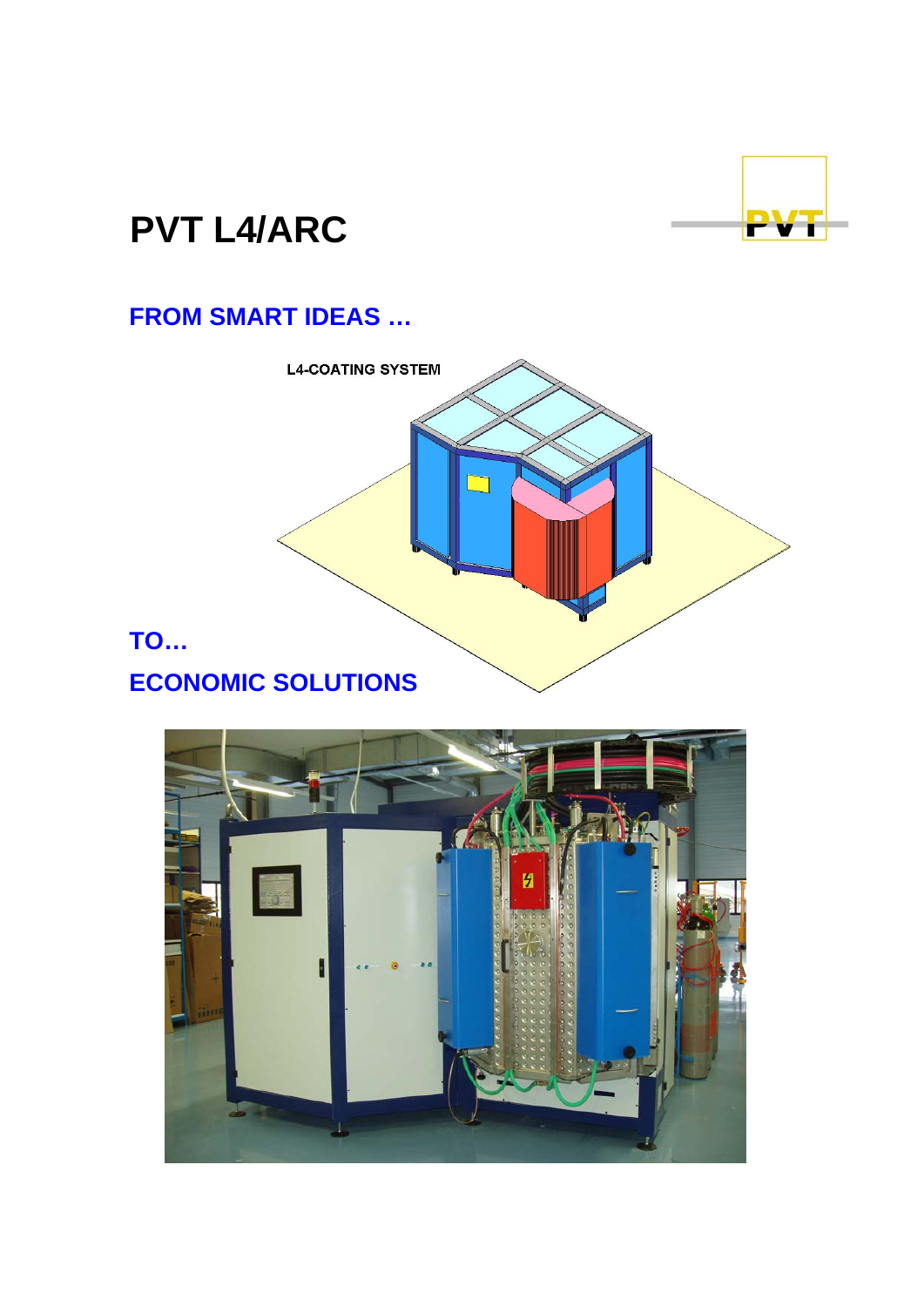

# **PVT L4/ARC**

## **FROM SMART IDEAS …**



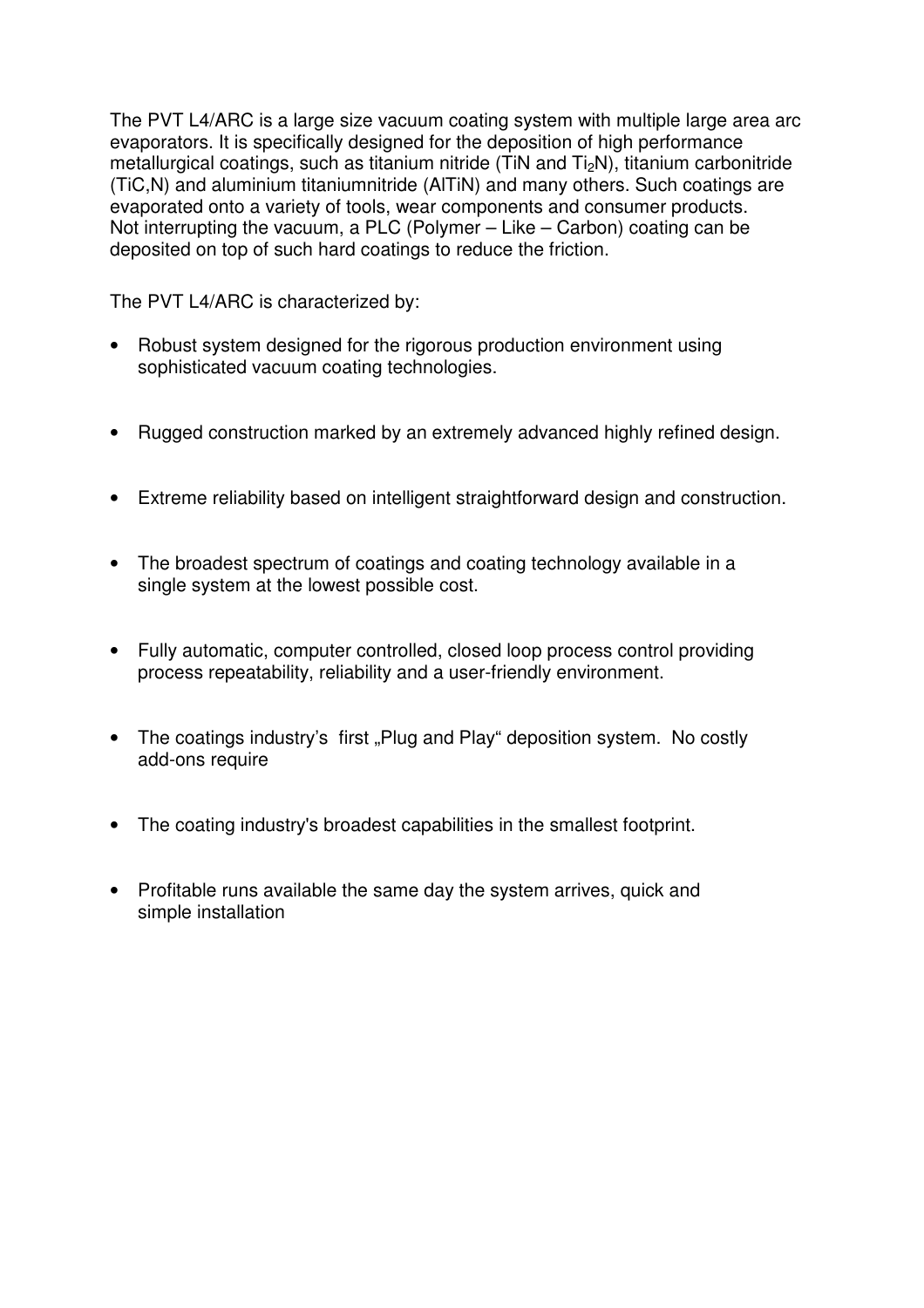The PVT L4/ARC is a large size vacuum coating system with multiple large area arc evaporators. It is specifically designed for the deposition of high performance metallurgical coatings, such as titanium nitride (TiN and Ti<sub>2</sub>N), titanium carbonitride (TiC,N) and aluminium titaniumnitride (AlTiN) and many others. Such coatings are evaporated onto a variety of tools, wear components and consumer products. Not interrupting the vacuum, a PLC (Polymer – Like – Carbon) coating can be deposited on top of such hard coatings to reduce the friction.

The PVT L4/ARC is characterized by:

- Robust system designed for the rigorous production environment using sophisticated vacuum coating technologies.
- Rugged construction marked by an extremely advanced highly refined design.
- Extreme reliability based on intelligent straightforward design and construction.
- The broadest spectrum of coatings and coating technology available in a single system at the lowest possible cost.
- Fully automatic, computer controlled, closed loop process control providing process repeatability, reliability and a user-friendly environment.
- The coatings industry's first "Plug and Play" deposition system. No costly add-ons require
- The coating industry's broadest capabilities in the smallest footprint.
- Profitable runs available the same day the system arrives, quick and simple installation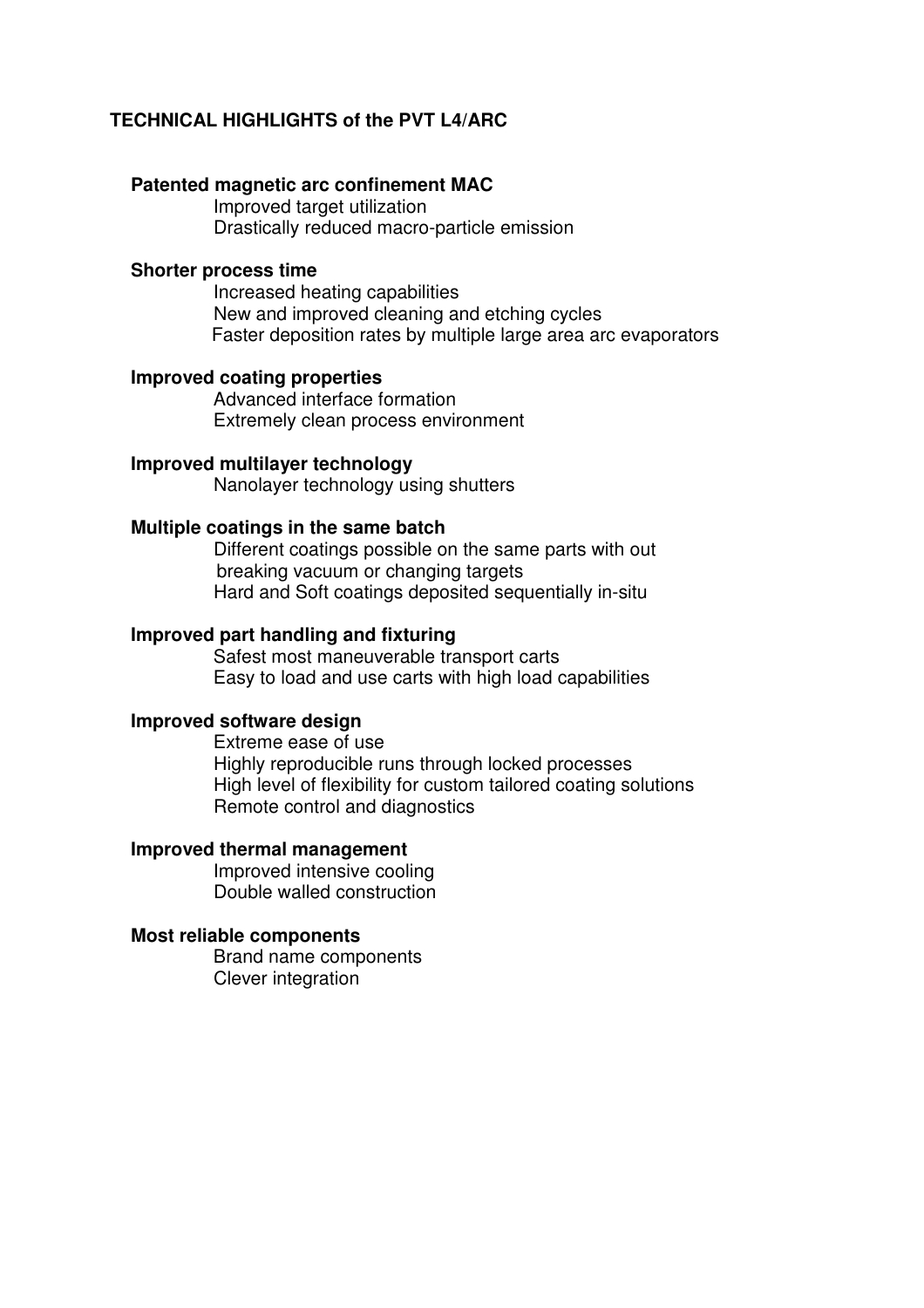#### **TECHNICAL HIGHLIGHTS of the PVT L4/ARC**

#### **Patented magnetic arc confinement MAC**

Improved target utilization Drastically reduced macro-particle emission

#### **Shorter process time**

Increased heating capabilities New and improved cleaning and etching cycles Faster deposition rates by multiple large area arc evaporators

#### **Improved coating properties**

Advanced interface formation Extremely clean process environment

#### **Improved multilayer technology**

Nanolayer technology using shutters

#### **Multiple coatings in the same batch**

Different coatings possible on the same parts with out breaking vacuum or changing targets Hard and Soft coatings deposited sequentially in-situ

#### **Improved part handling and fixturing**

Safest most maneuverable transport carts Easy to load and use carts with high load capabilities

#### **Improved software design**

Extreme ease of use Highly reproducible runs through locked processes High level of flexibility for custom tailored coating solutions Remote control and diagnostics

#### **Improved thermal management**

Improved intensive cooling Double walled construction

#### **Most reliable components**

Brand name components Clever integration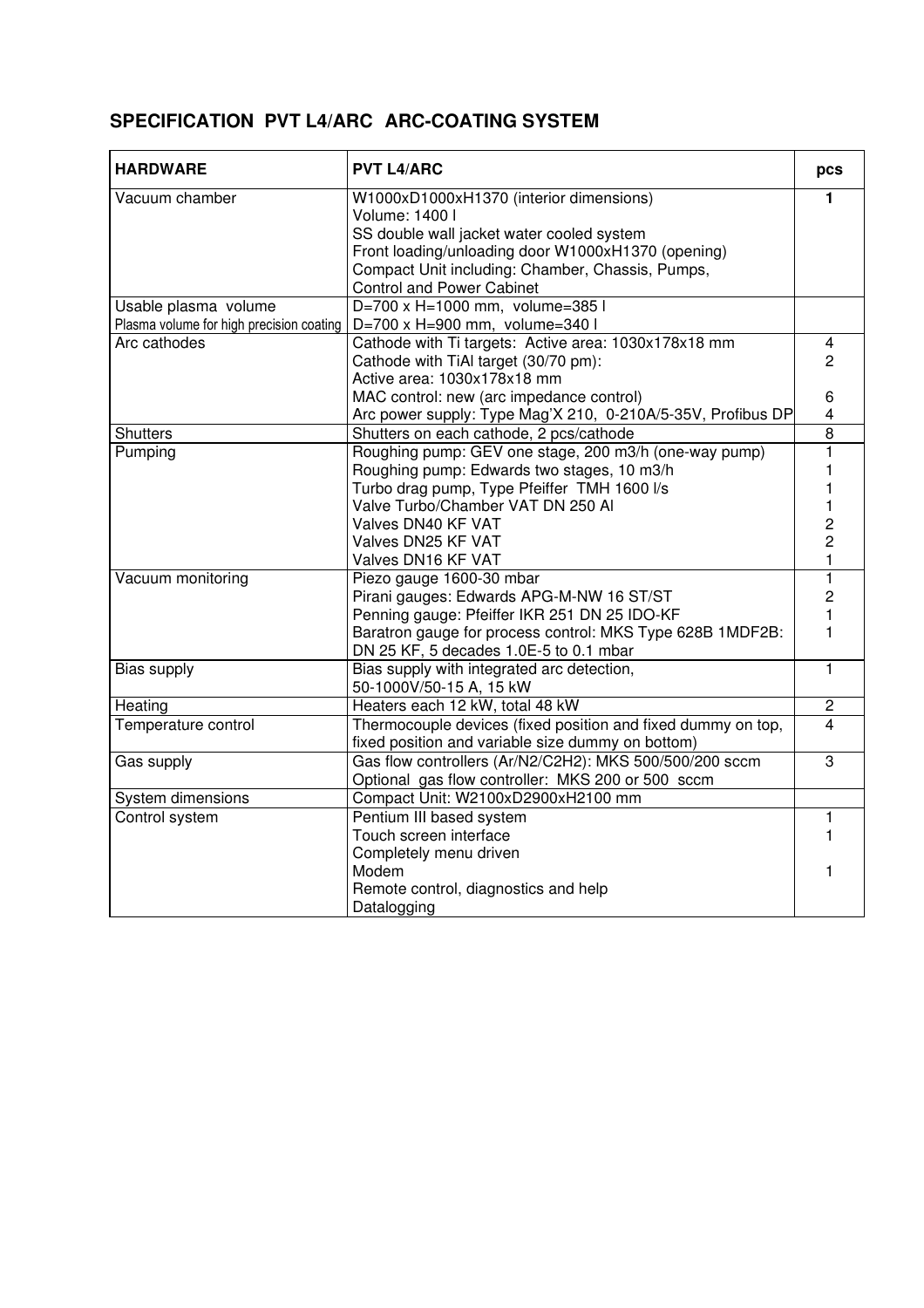### **SPECIFICATION PVT L4/ARC ARC-COATING SYSTEM**

| <b>HARDWARE</b>                          | <b>PVT L4/ARC</b>                                            |                         |  |  |
|------------------------------------------|--------------------------------------------------------------|-------------------------|--|--|
| Vacuum chamber                           | W1000xD1000xH1370 (interior dimensions)                      | 1                       |  |  |
|                                          | Volume: 1400 l                                               |                         |  |  |
|                                          | SS double wall jacket water cooled system                    |                         |  |  |
|                                          | Front loading/unloading door W1000xH1370 (opening)           |                         |  |  |
|                                          | Compact Unit including: Chamber, Chassis, Pumps,             |                         |  |  |
|                                          | <b>Control and Power Cabinet</b>                             |                         |  |  |
| Usable plasma volume                     | D=700 x H=1000 mm, volume=385 l                              |                         |  |  |
| Plasma volume for high precision coating | D=700 x H=900 mm, volume=340 l                               |                         |  |  |
| Arc cathodes                             | Cathode with Ti targets: Active area: 1030x178x18 mm         | 4                       |  |  |
|                                          | Cathode with TiAI target (30/70 pm):                         | $\overline{2}$          |  |  |
|                                          | Active area: 1030x178x18 mm                                  |                         |  |  |
|                                          | MAC control: new (arc impedance control)                     | 6                       |  |  |
|                                          | Arc power supply: Type Mag'X 210, 0-210A/5-35V, Profibus DP  | $\overline{\mathbf{4}}$ |  |  |
| <b>Shutters</b>                          | Shutters on each cathode, 2 pcs/cathode                      | $\overline{8}$          |  |  |
| Pumping                                  | Roughing pump: GEV one stage, 200 m3/h (one-way pump)        | 1                       |  |  |
|                                          | Roughing pump: Edwards two stages, 10 m3/h                   |                         |  |  |
|                                          | Turbo drag pump, Type Pfeiffer TMH 1600 l/s                  |                         |  |  |
|                                          | Valve Turbo/Chamber VAT DN 250 Al                            |                         |  |  |
|                                          | Valves DN40 KF VAT                                           | 2                       |  |  |
|                                          | Valves DN25 KF VAT                                           | $\overline{2}$          |  |  |
|                                          | Valves DN16 KF VAT                                           | $\mathbf{1}$            |  |  |
| Vacuum monitoring                        | Piezo gauge 1600-30 mbar                                     | 1                       |  |  |
|                                          | Pirani gauges: Edwards APG-M-NW 16 ST/ST                     | $\overline{2}$          |  |  |
|                                          | Penning gauge: Pfeiffer IKR 251 DN 25 IDO-KF                 | 1                       |  |  |
|                                          | Baratron gauge for process control: MKS Type 628B 1MDF2B:    | 1                       |  |  |
|                                          | DN 25 KF, 5 decades 1.0E-5 to 0.1 mbar                       |                         |  |  |
| Bias supply                              | Bias supply with integrated arc detection,                   | $\overline{1}$          |  |  |
|                                          | 50-1000V/50-15 A, 15 kW                                      |                         |  |  |
| Heating                                  | Heaters each 12 kW, total 48 kW                              | $\overline{c}$          |  |  |
| Temperature control                      | Thermocouple devices (fixed position and fixed dummy on top, | $\overline{4}$          |  |  |
|                                          | fixed position and variable size dummy on bottom)            |                         |  |  |
| Gas supply                               | Gas flow controllers (Ar/N2/C2H2): MKS 500/500/200 sccm      | $\overline{3}$          |  |  |
|                                          | Optional gas flow controller: MKS 200 or 500 sccm            |                         |  |  |
| System dimensions                        | Compact Unit: W2100xD2900xH2100 mm                           |                         |  |  |
| Control system                           | Pentium III based system                                     | 1                       |  |  |
|                                          | Touch screen interface                                       |                         |  |  |
|                                          | Completely menu driven                                       |                         |  |  |
|                                          | Modem                                                        | 1                       |  |  |
|                                          | Remote control, diagnostics and help                         |                         |  |  |
|                                          | Datalogging                                                  |                         |  |  |